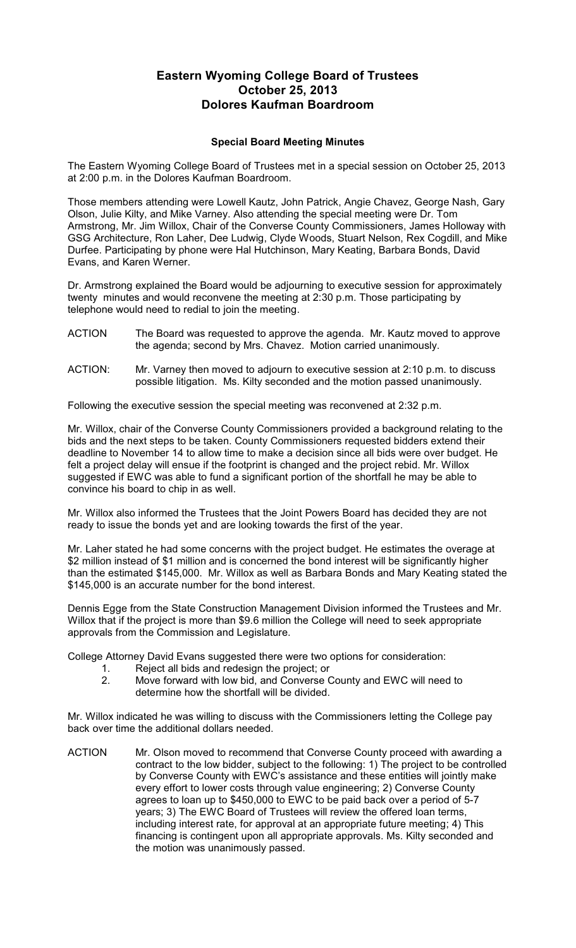## **Eastern Wyoming College Board of Trustees October 25, 2013 Dolores Kaufman Boardroom**

## **Special Board Meeting Minutes**

The Eastern Wyoming College Board of Trustees met in a special session on October 25, 2013 at 2:00 p.m. in the Dolores Kaufman Boardroom.

Those members attending were Lowell Kautz, John Patrick, Angie Chavez, George Nash, Gary Olson, Julie Kilty, and Mike Varney. Also attending the special meeting were Dr. Tom Armstrong, Mr. Jim Willox, Chair of the Converse County Commissioners, James Holloway with GSG Architecture, Ron Laher, Dee Ludwig, Clyde Woods, Stuart Nelson, Rex Cogdill, and Mike Durfee. Participating by phone were Hal Hutchinson, Mary Keating, Barbara Bonds, David Evans, and Karen Werner.

Dr. Armstrong explained the Board would be adjourning to executive session for approximately twenty minutes and would reconvene the meeting at 2:30 p.m. Those participating by telephone would need to redial to join the meeting.

- ACTION The Board was requested to approve the agenda. Mr. Kautz moved to approve the agenda; second by Mrs. Chavez. Motion carried unanimously.
- ACTION: Mr. Varney then moved to adjourn to executive session at 2:10 p.m. to discuss possible litigation. Ms. Kilty seconded and the motion passed unanimously.

Following the executive session the special meeting was reconvened at 2:32 p.m.

Mr. Willox, chair of the Converse County Commissioners provided a background relating to the bids and the next steps to be taken. County Commissioners requested bidders extend their deadline to November 14 to allow time to make a decision since all bids were over budget. He felt a project delay will ensue if the footprint is changed and the project rebid. Mr. Willox suggested if EWC was able to fund a significant portion of the shortfall he may be able to convince his board to chip in as well.

Mr. Willox also informed the Trustees that the Joint Powers Board has decided they are not ready to issue the bonds yet and are looking towards the first of the year.

Mr. Laher stated he had some concerns with the project budget. He estimates the overage at \$2 million instead of \$1 million and is concerned the bond interest will be significantly higher than the estimated \$145,000. Mr. Willox as well as Barbara Bonds and Mary Keating stated the \$145,000 is an accurate number for the bond interest.

Dennis Egge from the State Construction Management Division informed the Trustees and Mr. Willox that if the project is more than \$9.6 million the College will need to seek appropriate approvals from the Commission and Legislature.

College Attorney David Evans suggested there were two options for consideration:

- 1. Reject all bids and redesign the project; or<br>2. Move forward with low bid. and Converse 0
- 2. Move forward with low bid, and Converse County and EWC will need to determine how the shortfall will be divided.

Mr. Willox indicated he was willing to discuss with the Commissioners letting the College pay back over time the additional dollars needed.

ACTION Mr. Olson moved to recommend that Converse County proceed with awarding a contract to the low bidder, subject to the following: 1) The project to be controlled by Converse County with EWC's assistance and these entities will jointly make every effort to lower costs through value engineering; 2) Converse County agrees to loan up to \$450,000 to EWC to be paid back over a period of 5-7 years; 3) The EWC Board of Trustees will review the offered loan terms, including interest rate, for approval at an appropriate future meeting; 4) This financing is contingent upon all appropriate approvals. Ms. Kilty seconded and the motion was unanimously passed.